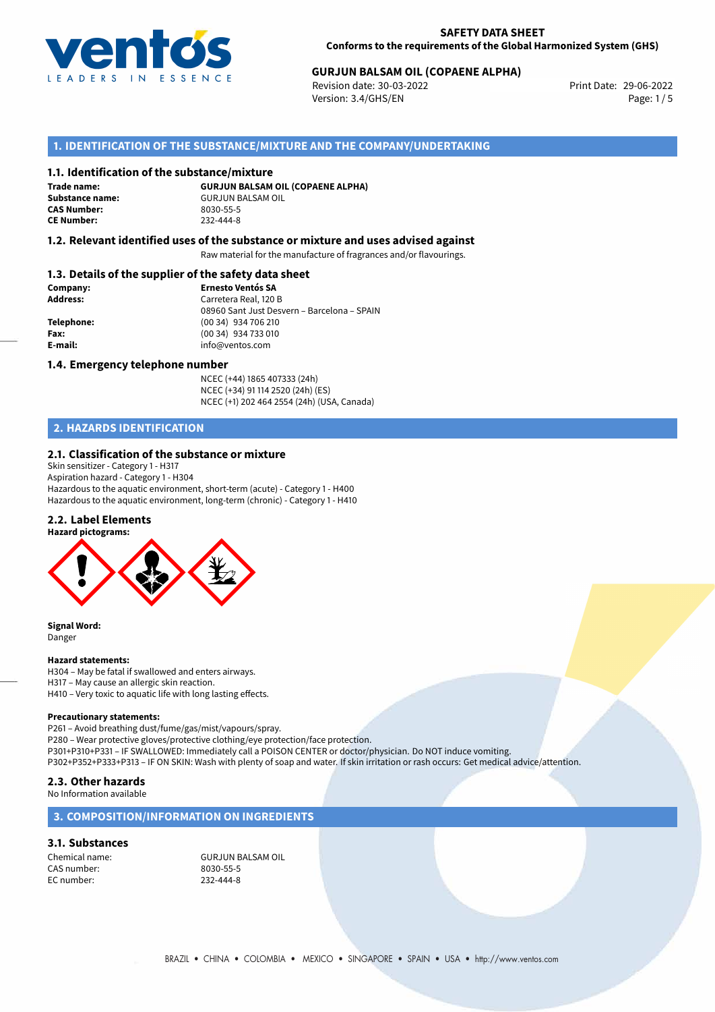

# **GURJUN BALSAM OIL (COPAENE ALPHA)**<br>
Revision date: 30-03-2022<br>
Print Date: 29-06-2022

Revision date: 30-03-2022 Version: 3.4/GHS/EN Page: 1 / 5

## **1. IDENTIFICATION OF THE SUBSTANCE/MIXTURE AND THE COMPANY/UNDERTAKING**

#### **1.1. Identification of the substance/mixture**

**Trade name: CAS Number: CE Number:** 232-444-8

**GURJUN BALSAM OIL (COPAENE ALPHA) Substance name:** GURJUN BALSAM OIL<br> **CAS Number:** 8030-55-5

## **1.2. Relevant identified uses of the substance or mixture and uses advised against**

Raw material for the manufacture of fragrances and/or flavourings.

## **1.3. Details of the supplier of the safety data sheet**

| Company:        | <b>Ernesto Ventós SA</b>                    |
|-----------------|---------------------------------------------|
| <b>Address:</b> | Carretera Real, 120 B                       |
|                 | 08960 Sant Just Desvern - Barcelona - SPAIN |
| Telephone:      | (00 34) 934 706 210                         |
| Fax:            | (00 34) 934 733 010                         |
| E-mail:         | info@ventos.com                             |
|                 |                                             |

#### **1.4. Emergency telephone number**

NCEC (+44) 1865 407333 (24h) NCEC (+34) 91 114 2520 (24h) (ES) NCEC (+1) 202 464 2554 (24h) (USA, Canada)

# **2. HAZARDS IDENTIFICATION**

## **2.1. Classification of the substance or mixture**

Skin sensitizer - Category 1 - H317 Aspiration hazard - Category 1 - H304 Hazardous to the aquatic environment, short-term (acute) - Category 1 - H400 Hazardous to the aquatic environment, long-term (chronic) - Category 1 - H410

#### **2.2. Label Elements**



**Signal Word:** Danger

#### **Hazard statements:**

H304 – May be fatal if swallowed and enters airways. H317 – May cause an allergic skin reaction. H410 – Very toxic to aquatic life with long lasting effects.

#### **Precautionary statements:**

P261 – Avoid breathing dust/fume/gas/mist/vapours/spray. P280 – Wear protective gloves/protective clothing/eye protection/face protection. P301+P310+P331 – IF SWALLOWED: Immediately call a POISON CENTER or doctor/physician. Do NOT induce vomiting. P302+P352+P333+P313 – IF ON SKIN: Wash with plenty of soap and water. If skin irritation or rash occurs: Get medical advice/attention.

# **2.3. Other hazards**

No Information available

### **3. COMPOSITION/INFORMATION ON INGREDIENTS**

## **3.1. Substances**

CAS number: 8030-55-5 EC number:

Chemical name: GURJUN BALSAM OIL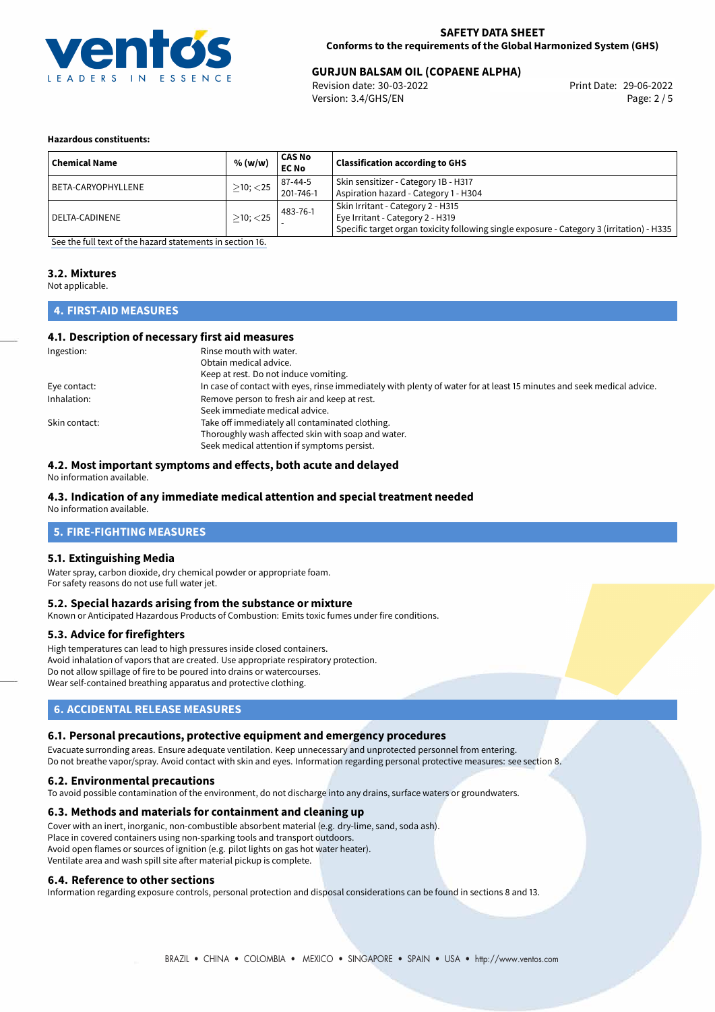

# **GURJUN BALSAM OIL (COPAENE ALPHA)**<br>
Revision date: 30-03-2022<br>
Print Date: 29-06-2022

Revision date: 30-03-2022 Version: 3.4/GHS/EN Page: 2 / 5

#### **Hazardous constituents:**

| <b>Chemical Name</b> | % (w/w)        | CAS No<br><b>EC No</b> | <b>Classification according to GHS</b>                                                                                                                             |
|----------------------|----------------|------------------------|--------------------------------------------------------------------------------------------------------------------------------------------------------------------|
| BETA-CARYOPHYLLENE   | $>10$ ; $<$ 25 | 87-44-5<br>201-746-1   | Skin sensitizer - Category 1B - H317<br>Aspiration hazard - Category 1 - H304                                                                                      |
| DELTA-CADINENE       | $>10$ ; $<$ 25 | 483-76-1               | Skin Irritant - Category 2 - H315<br>Eye Irritant - Category 2 - H319<br>Specific target organ toxicity following single exposure - Category 3 (irritation) - H335 |

[See the full text of the hazard statements in section 16.](#page-4-0)

## **3.2. Mixtures**

Not applicable.

# **4. FIRST-AID MEASURES**

#### **4.1. Description of necessary first aid measures**

| Ingestion:    | Rinse mouth with water.                                                                                               |
|---------------|-----------------------------------------------------------------------------------------------------------------------|
|               | Obtain medical advice.                                                                                                |
|               | Keep at rest. Do not induce vomiting.                                                                                 |
| Eye contact:  | In case of contact with eyes, rinse immediately with plenty of water for at least 15 minutes and seek medical advice. |
| Inhalation:   | Remove person to fresh air and keep at rest.                                                                          |
|               | Seek immediate medical advice.                                                                                        |
| Skin contact: | Take off immediately all contaminated clothing.                                                                       |
|               | Thoroughly wash affected skin with soap and water.                                                                    |
|               | Seek medical attention if symptoms persist.                                                                           |

## **4.2. Most important symptoms and effects, both acute and delayed**

No information available.

# **4.3. Indication of any immediate medical attention and special treatment needed**

No information available.

# **5. FIRE-FIGHTING MEASURES**

## **5.1. Extinguishing Media**

Water spray, carbon dioxide, dry chemical powder or appropriate foam. For safety reasons do not use full water jet.

#### **5.2. Special hazards arising from the substance or mixture**

Known or Anticipated Hazardous Products of Combustion: Emits toxic fumes under fire conditions.

## **5.3. Advice for firefighters**

High temperatures can lead to high pressures inside closed containers. Avoid inhalation of vapors that are created. Use appropriate respiratory protection. Do not allow spillage of fire to be poured into drains or watercourses. Wear self-contained breathing apparatus and protective clothing.

# **6. ACCIDENTAL RELEASE MEASURES**

## **6.1. Personal precautions, protective equipment and emergency procedures**

Evacuate surronding areas. Ensure adequate ventilation. Keep unnecessary and unprotected personnel from entering.

Do not breathe vapor/spray. Avoid contact with skin and eyes. Information regarding personal protective measures: see section 8.

#### **6.2. Environmental precautions**

To avoid possible contamination of the environment, do not discharge into any drains, surface waters or groundwaters.

## **6.3. Methods and materials for containment and cleaning up**

Cover with an inert, inorganic, non-combustible absorbent material (e.g. dry-lime, sand, soda ash). Place in covered containers using non-sparking tools and transport outdoors. Avoid open flames or sources of ignition (e.g. pilot lights on gas hot water heater). Ventilate area and wash spill site after material pickup is complete.

## **6.4. Reference to other sections**

Information regarding exposure controls, personal protection and disposal considerations can be found in sections 8 and 13.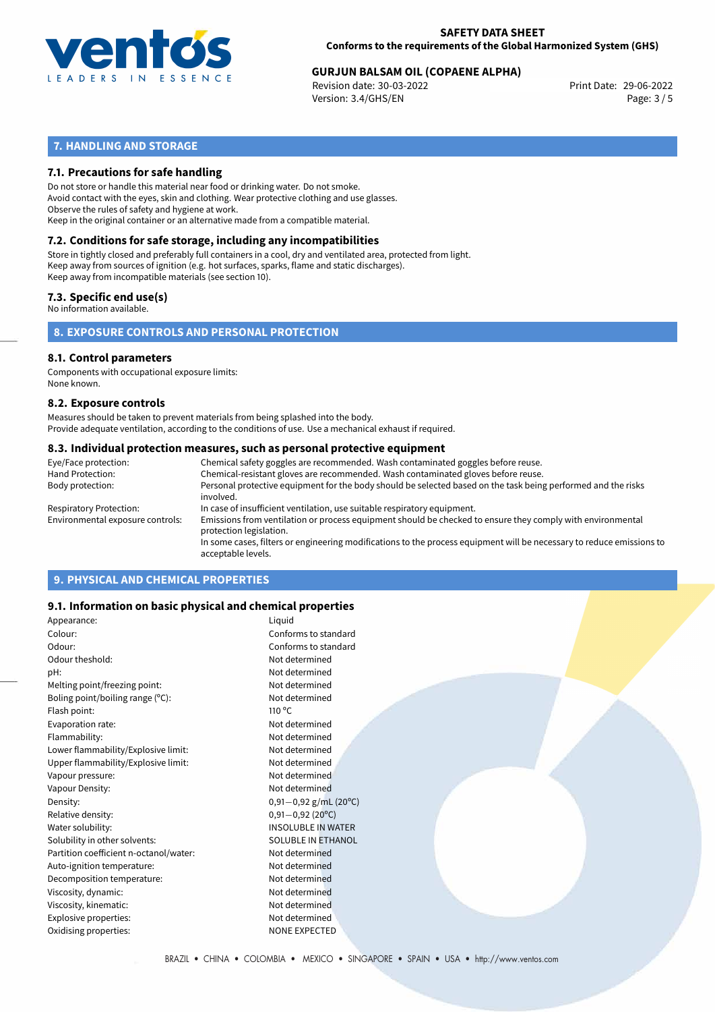

# **GURJUN BALSAM OIL (COPAENE ALPHA)**<br>
Revision date: 30-03-2022<br>
Print Date: 29-06-2022

Revision date: 30-03-2022 Version: 3.4/GHS/EN Page: 3 / 5

# **7. HANDLING AND STORAGE**

## **7.1. Precautions for safe handling**

Do not store or handle this material near food or drinking water. Do not smoke. Avoid contact with the eyes, skin and clothing. Wear protective clothing and use glasses. Observe the rules of safety and hygiene at work. Keep in the original container or an alternative made from a compatible material.

# **7.2. Conditions for safe storage, including any incompatibilities**

Store in tightly closed and preferably full containers in a cool, dry and ventilated area, protected from light. Keep away from sources of ignition (e.g. hot surfaces, sparks, flame and static discharges). Keep away from incompatible materials (see section 10).

## **7.3. Specific end use(s)**

No information available.

**8. EXPOSURE CONTROLS AND PERSONAL PROTECTION**

#### **8.1. Control parameters**

Components with occupational exposure limits: None known.

#### **8.2. Exposure controls**

Measures should be taken to prevent materials from being splashed into the body. Provide adequate ventilation, according to the conditions of use. Use a mechanical exhaust if required.

#### **8.3. Individual protection measures, such as personal protective equipment**

| Eye/Face protection:             | Chemical safety goggles are recommended. Wash contaminated goggles before reuse.                                                            |
|----------------------------------|---------------------------------------------------------------------------------------------------------------------------------------------|
| Hand Protection:                 | Chemical-resistant gloves are recommended. Wash contaminated gloves before reuse.                                                           |
| Body protection:                 | Personal protective equipment for the body should be selected based on the task being performed and the risks<br>involved.                  |
| Respiratory Protection:          | In case of insufficient ventilation, use suitable respiratory equipment.                                                                    |
| Environmental exposure controls: | Emissions from ventilation or process equipment should be checked to ensure they comply with environmental<br>protection legislation.       |
|                                  | In some cases, filters or engineering modifications to the process equipment will be necessary to reduce emissions to<br>acceptable levels. |
|                                  |                                                                                                                                             |

# **9. PHYSICAL AND CHEMICAL PROPERTIES**

## **9.1. Information on basic physical and chemical properties**

| Appearance:                            | Liquid                    |
|----------------------------------------|---------------------------|
| Colour:                                | Conforms to standard      |
| Odour:                                 | Conforms to standard      |
| Odour theshold:                        | Not determined            |
| pH:                                    | Not determined            |
| Melting point/freezing point:          | Not determined            |
| Boling point/boiling range (°C):       | Not determined            |
| Flash point:                           | $110^{\circ}$ C           |
| Evaporation rate:                      | Not determined            |
| Flammability:                          | Not determined            |
| Lower flammability/Explosive limit:    | Not determined            |
| Upper flammability/Explosive limit:    | Not determined            |
| Vapour pressure:                       | Not determined            |
| Vapour Density:                        | Not determined            |
| Density:                               | $0,91-0,92$ g/mL (20°C)   |
| Relative density:                      | $0,91 - 0,92$ (20°C)      |
| Water solubility:                      | <b>INSOLUBLE IN WATER</b> |
| Solubility in other solvents:          | <b>SOLUBLE IN ETHANOL</b> |
| Partition coefficient n-octanol/water: | Not determined            |
| Auto-ignition temperature:             | Not determined            |
| Decomposition temperature:             | Not determined            |
| Viscosity, dynamic:                    | Not determined            |
| Viscosity, kinematic:                  | Not determined            |
| Explosive properties:                  | Not determined            |
| Oxidising properties:                  | <b>NONE EXPECTED</b>      |
|                                        |                           |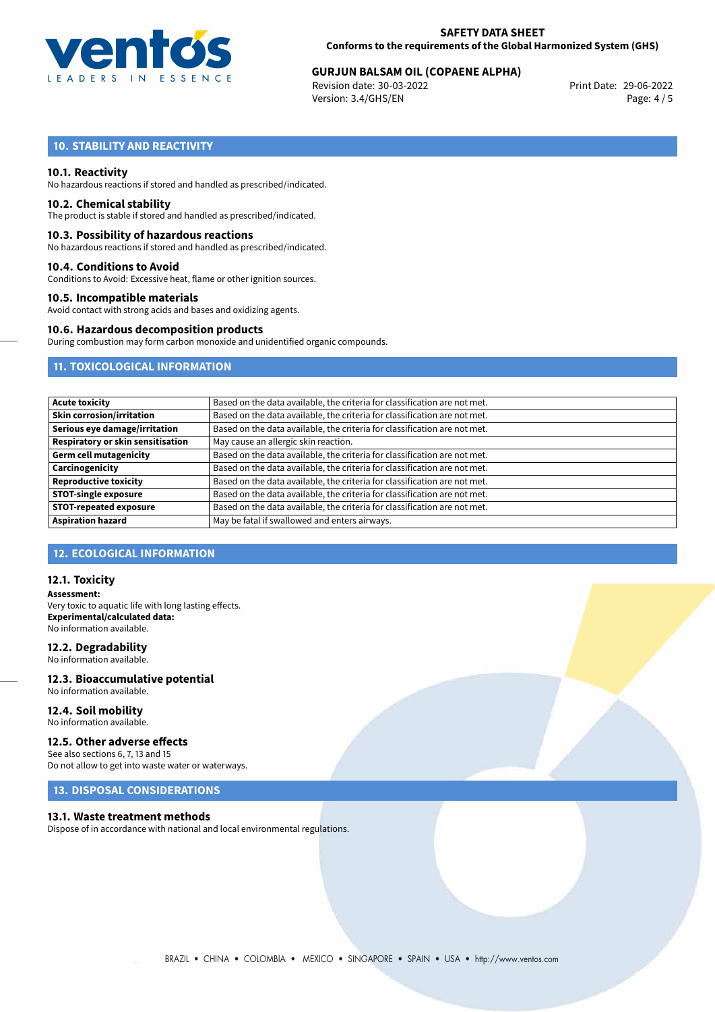

# **GURJUN BALSAM OIL (COPAENE ALPHA)**<br>
Revision date: 30-03-2022<br>
Print Date: 29-06-2022

Revision date: 30-03-2022 Version: 3.4/GHS/EN Page: 4 / 5

# **10. STABILITY AND REACTIVITY**

#### **10.1. Reactivity**

No hazardous reactions if stored and handled as prescribed/indicated.

#### **10.2. Chemical stability**

The product is stable if stored and handled as prescribed/indicated.

#### **10.3. Possibility of hazardous reactions**

No hazardous reactions if stored and handled as prescribed/indicated.

#### **10.4. Conditions to Avoid**

Conditions to Avoid: Excessive heat, flame or other ignition sources.

#### **10.5. Incompatible materials**

Avoid contact with strong acids and bases and oxidizing agents.

#### **10.6. Hazardous decomposition products**

During combustion may form carbon monoxide and unidentified organic compounds.

## **11. TOXICOLOGICAL INFORMATION**

| <b>Acute toxicity</b>             | Based on the data available, the criteria for classification are not met. |
|-----------------------------------|---------------------------------------------------------------------------|
| <b>Skin corrosion/irritation</b>  | Based on the data available, the criteria for classification are not met. |
| Serious eye damage/irritation     | Based on the data available, the criteria for classification are not met. |
| Respiratory or skin sensitisation | May cause an allergic skin reaction.                                      |
| <b>Germ cell mutagenicity</b>     | Based on the data available, the criteria for classification are not met. |
| Carcinogenicity                   | Based on the data available, the criteria for classification are not met. |
| <b>Reproductive toxicity</b>      | Based on the data available, the criteria for classification are not met. |
| <b>STOT-single exposure</b>       | Based on the data available, the criteria for classification are not met. |
| <b>STOT-repeated exposure</b>     | Based on the data available, the criteria for classification are not met. |
| <b>Aspiration hazard</b>          | May be fatal if swallowed and enters airways.                             |

# **12. ECOLOGICAL INFORMATION**

#### **12.1. Toxicity**

**Assessment:** Very toxic to aquatic life with long lasting effects. **Experimental/calculated data:** No information available.

### **12.2. Degradability**

No information available.

#### **12.3. Bioaccumulative potential** No information available.

**12.4. Soil mobility** No information available.

# **12.5. Other adverse effects**

See also sections 6, 7, 13 and 15 Do not allow to get into waste water or waterways.

## **13. DISPOSAL CONSIDERATIONS**

#### **13.1. Waste treatment methods**

Dispose of in accordance with national and local environmental regulations.